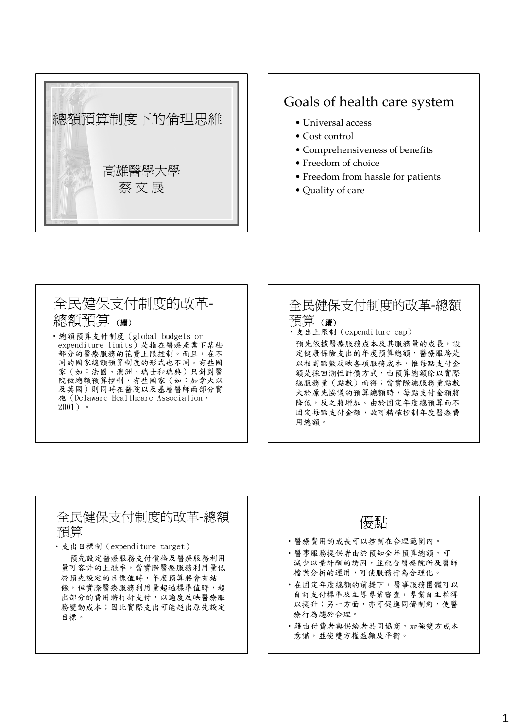

### Goals of health care system

- Universal access
- Cost control
- Comprehensiveness of benefits
- Freedom of choice
- Freedom from hassle for patients
- Quality of care

### 全民健保支付制度的改革‐ 總額預算 (續)

‧總額預算支付制度(global budgets or expenditure limits)是指在醫療產業下某些 部分的醫療服務的花費上限控制。而且,在不 同的國家總額預算制度的形式也不同。有些國 家(如:法國、澳洲、瑞士和瑞典)只針對醫 院做總額預算控制,有些國家(如:加拿大以 及英國)則同時在醫院以及基層醫師兩部分實 施(Delaware Healthcare Association, 2001)。

#### 全民健保支付制度的改革‐總額 預算 (續) ‧支出上限制(expenditure cap) 預先依據醫療服務成本及其服務量的成長,設 定健康保險支出的年度預算總額,醫療服務是 以相對點數反映各項服務成本,惟每點支付金 額是採回溯性計價方式,由預算總額除以實際 總服務量(點數)而得;當實際總服務量點數 大於原先協議的預算總額時,每點支付金額將 降低,反之將增加。由於固定年度總預算而不 固定每點支付金額,故可精確控制年度醫療費 用總額。

# 全民健保支付制度的改革‐總額 ┃ ┃ 優點<br>預算

‧支出目標制(expenditure target) 預先設定醫療服務支付價格及醫療服務利用 量可容許的上漲率,當實際醫療服務利用量低 於預先設定的目標值時,年度預算將會有結 餘,但實際醫療服務利用量超過標準值時,超 出部分的費用將打折支付,以適度反映醫療服 務變動成本;因此實際支出可能超出原先設定 目標。

‧醫療費用的成長可以控制在合理範圍內。 ‧醫事服務提供者由於預知全年預算總額,可 減少以量計酬的誘因,並配合醫療院所及醫師 檔案分析的運用,可使服務行為合理化。 ‧在固定年度總額的前提下,醫事服務團體可以 自訂支付標準及主導專業審查,專業自主權得 以提升;另一方面,亦可促進同儕制約,使醫 療行為趨於合理。 ‧藉由付費者與供給者共同協商,加強雙方成本 意識,並使雙方權益顧及平衡。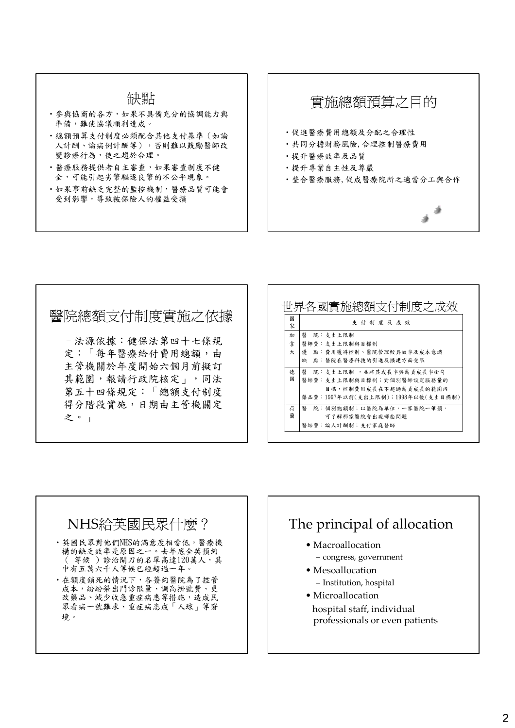#### 缺點

- ‧參與協商的各方,如果不具備充分的協調能力與 準備,難使協議順利達成。
- ‧總額預算支付制度必須配合其他支付基準(如論 人計酬、論病例計酬等),否則難以鼓勵醫師改 變診療行為,使之趨於合理。
- ‧醫療服務提供者自主審查,如果審查制度不健 全,可能引起劣幣驅逐良幣的不公平現象。
- ‧如果事前缺乏完整的監控機制,醫療品質可能會 受到影響,導致被保險人的權益受損

## 實施總額預算之目的 ‧促進醫療費用總額及分配之合理性 ‧共同分擔財務風險,合理控制醫療費用 ‧提升醫療效率及品質 ‧提升專業自主性及尊嚴 ‧整合醫療服務,促成醫療院所之適當分工與合作

### 醫院總額支付制度實施之依據

–法源依據:健保法第四十七條規 定:「每年醫療給付費用總額,由 主管機關於年度開始六個月前擬訂 其範圍,報請行政院核定」,同法 第五十四條規定:「總額支付制度 得分階段實施,日期由主管機關定 之。」

|        | 世界各國實施總額支付制度之成效                   |
|--------|-----------------------------------|
| 或<br>家 | 支付制度及成效                           |
| 加      | 翳<br>院: 支出上限制                     |
| 拿      | 醫師費:支出上限制與目標制                     |
| 大      | 優 點:費用獲得控制、醫院管理較具效率及成本意識          |
|        | 點:醫院在醫療科技的引進及擴建方面受限<br>缺          |
| 德      | 院:支出上限制 ,並將其成長率與薪資成長率掛勾<br>鋻      |
| 或      | 醫師費:支出上限制與目標制;對個別醫師設定服務量的         |
|        | 目標,控制費用成長在不超過薪資成長的範圍內             |
|        | 藥品費:1997年以前(支出上限制);1998年以後(支出目標制) |
| 荷      | 院:個別總額制;以醫院為單位,一家醫院一筆預,<br>醫      |
| 蘭      | 可了解那家醫院會出現哪些問題                    |
|        | 醫師費:論人計酬制;支付家庭醫師                  |

#### NHS給英國民眾什麼? ‧英國民眾對他們NHS的滿意度相當低,醫療機 構的缺乏效率是原因之一。去年底全英預約 ( 等候 )診治開刀的名單高達120萬人,其 中有五萬六千人等候已經超過一年。 ‧在額度鎖死的情況下,各簽約醫院為了控管 成本,紛紛祭出門診限量、調高掛號費、更 改藥品、減少收急重症病患等措施,造成民 眾看病一號難求、重症病患成「人球」等窘 境。

### The principal of allocation

- Macroallocation
	- congress, government
- Mesoallocation – Institution, hospital
- Microallocation hospital staff, individual professionals or even patients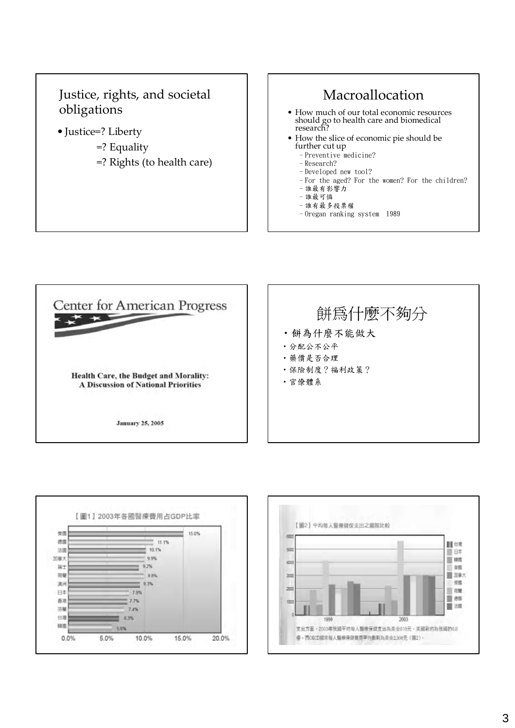### Justice, rights, and societal obligations

- Justice=? Liberty
	- =? Equality
	- =? Rights (to health care)

### Macroallocation

- How much of our total economic resources should go to health care and biomedical research?
- How the slice of economic pie should be further cut up
	- –Preventive medicine?
	- –Research?
	- –Developed new tool? –For the aged? For the women? For the children?
	- –誰最有影響力
	- –誰最可憐
	- –誰有最多投票權
	- –Oregan ranking system 1989





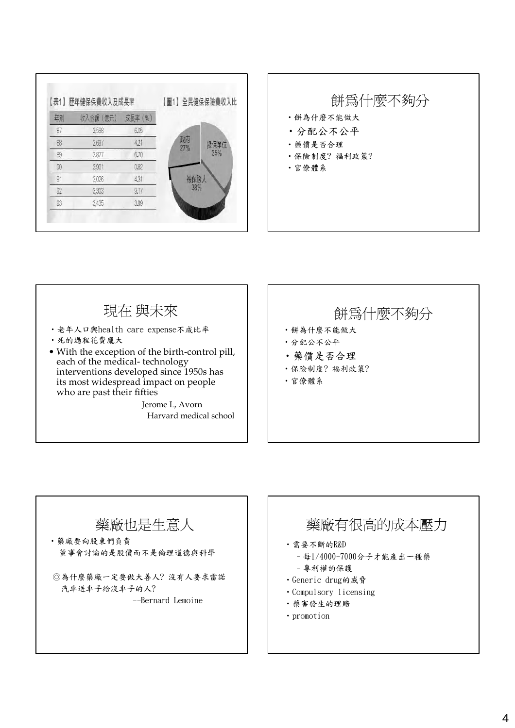|    | 【表1】歷年健保保費收入及成長率 |         |           | 【圖1】全民健保保險費收入比 |  |
|----|------------------|---------|-----------|----------------|--|
| 年別 | 收入金額 (億元)        | 成長率 (%) |           |                |  |
| 87 | 2,588            | 6.05    |           |                |  |
| 88 | 2,697            | 4,21    | 政府<br>27% | 投保單位           |  |
| 89 | 2,877            | 6.70    |           | 35%            |  |
| 90 | 2,901            | 0.82    |           |                |  |
| 91 | 3,026            | 4.31    |           | 被保險人           |  |
| 92 | 3,303            | 9.17    |           | 38%            |  |
| 93 | 3,435            | 3.99    |           |                |  |



### 現在 與未來

- ‧老年人口與health care expense不成比率
- ‧死的過程花費龐大
- With the exception of the birth‐control pill, each of the medical‐ technology interventions developed since 1950s has its most widespread impact on people who are past their fifties

Jerome L, Avorn Harvard medical school

### 餅為什麼不夠分

- ‧餅為什麼不能做大
- ‧分配公不公平
- ‧藥價是否合理
- ‧保險制度? 福利政策?
- ‧官僚體系

### 藥廠也是生意人

‧藥廠要向股東們負責 董事會討論的是股價而不是倫理道德與科學

◎為什麼藥廠一定要做大善人? 沒有人要求雷諾 汽車送車子給沒車子的人?

--Bernard Lemoine

### 藥廠有很高的成本壓力

- ‧需要不斷的R&D
	- –每1/4000-7000分子才能產出一種藥
	- –專利權的保護
- ‧Generic drug的威脅
- ‧Compulsory licensing
- ‧藥害發生的理賠
- ‧promotion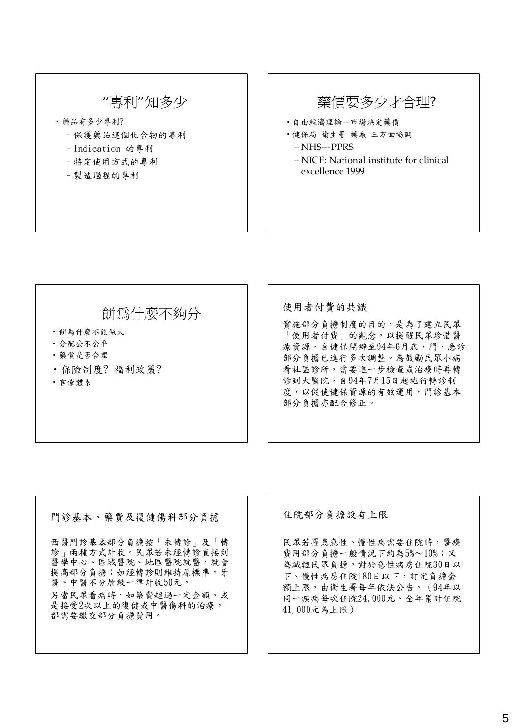### "專利"知多少

- ‧藥品有多少專利?
	- –保護藥品這個化合物的專利
	- –Indication 的專利
	- –特定使用方式的專利
	- –製造過程的專利

### 藥價要多少才合理?

- ‧自由經濟理論—市場決定藥價
- ‧健保局 衛生署 藥廠 三方面協調 – NHS‐‐‐PPRS
	- NICE: National institute for clinical excellence 1999

### 餅為什麼不夠分

- ‧餅為什麼不能做大
- ‧分配公不公平
- ‧藥價是否合理
- ‧保險制度? 福利政策?
- ‧官僚體系

#### 使用者付費的共識

實施部分負擔制度的目的,是為了建立民眾 「使用者付費」的觀念,以提醒民眾珍惜醫 療資源,自健保開辦至94年6月底,門、急診 部分負擔已進行多次調整。為鼓勵民眾小病 看社區診所,需要進一步檢查或治療時再轉 診到大醫院,自94年7月15日起施行轉診制 度,以促使健保資源的有效運用,門診基本 部分負擔亦配合修正。

#### 門診基本、藥費及復健傷科部分負擔

西醫門診基本部分負擔按「未轉診」及「轉 診」兩種方式計收。民眾若未經轉診直接到 醫學中心、區域醫院、地區醫院就醫,就會 提高部分負擔;如經轉診則維持原標準。牙 醫、中醫不分層級一律計收50元。 另當民眾看病時,如藥費超過一定金額,或 是接受2次以上的復健或中醫傷科的治療, 都需要繳交部分負擔費用。

住院部分負擔設有上限

民眾若罹患急性、慢性病需要住院時,醫療 費用部分負擔一般情況下約為5%~10%;又 為減輕民眾負擔,對於急性病房住院30日以 下、慢性病房住院180日以下,訂定負擔金 額上限,由衛生署每年依法公告。(94年以 同一疾病每次住院24,000元、全年累計住院 41,000元為上限)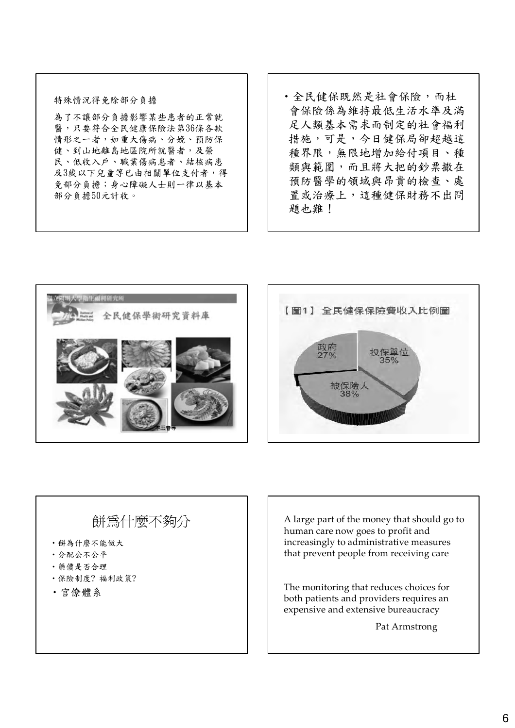#### 特殊情況得免除部分負擔

為了不讓部分負擔影響某些患者的正常就 醫,只要符合全民健康保險法第36條各款 情形之一者,如重大傷病、分娩、預防保 健、到山地離島地區院所就醫者,及榮 民、低收入戶、職業傷病患者、結核病患 及3歲以下兒童等已由相關單位支付者,得 免部分負擔;身心障礙人士則一律以基本 部分負擔50元計收。

‧全民健保既然是社會保險,而杜 會保險係為維持最低生活水準及滿 足人類基本需求而制定的社會福利 措施,可是,今日健保局卻超越這 種界限,無限地增加給付項目、種 類與範圍,而且將大把的鈔票撒在 預防醫學的領域與昂貴的檢查、處 置或治療上,這種健保財務不出問 題也難!





### 餅為什麼不夠分

- ‧餅為什麼不能做大
- ‧分配公不公平
- ‧藥價是否合理
- ‧保險制度? 福利政策?
- ‧官僚體系

A large part of the money that should go to human care now goes to profit and increasingly to administrative measures that prevent people from receiving care

The monitoring that reduces choices for both patients and providers requires an expensive and extensive bureaucracy

Pat Armstrong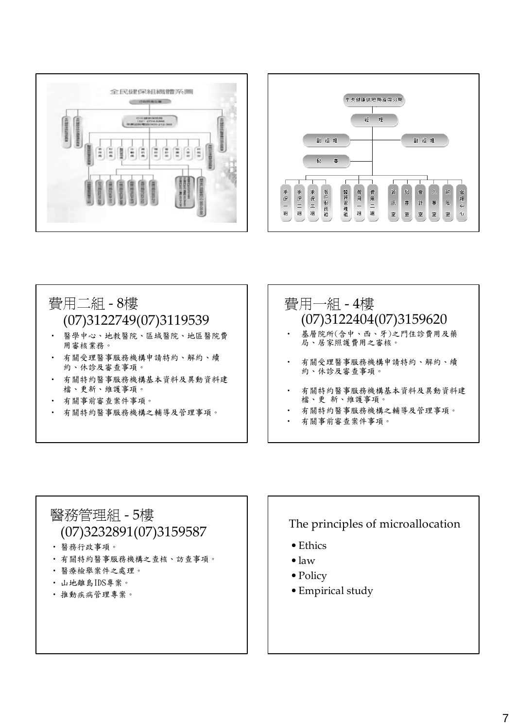



### 費用二組 ‐ 8樓 (07)3122749(07)3119539 ‧ 醫學中心、地教醫院、區域醫院、地區醫院費

- 用審核業務。
- 有關受理醫事服務機構申請特約、解約、續 約、休診及審查事項。
- 有關特約醫事服務機構基本資料及異動資料建 檔、更新、維護事項。
- ‧ 有關事前審查案件事項。
- ‧ 有關特約醫事服務機構之輔導及管理事項。

### 費用一組 ‐ 4樓 (07)3122404(07)3159620

- ‧ 基層院所(含中、西、牙)之門住診費用及藥 局、居家照護費用之審核。
- 有關受理醫事服務機構申請特約、解約、續 約、休診及審查事項。
- 有關特約醫事服務機構基本資料及異動資料建 檔、更 新、維護事項。
- 有關特約醫事服務機構之輔導及管理事項。
- ‧ 有關事前審查案件事項。

### 醫務管理組 ‐ 5樓 (07)3232891(07)3159587

- ‧ 醫務行政事項。
- ‧ 有關特約醫事服務機構之查核、訪查事項。
- ‧ 醫療檢舉案件之處理。
- ‧ 山地離島IDS專案。
- ‧ 推動疾病管理專案。

#### The principles of microallocation

- Ethics
- •law
- Policy
- Empirical study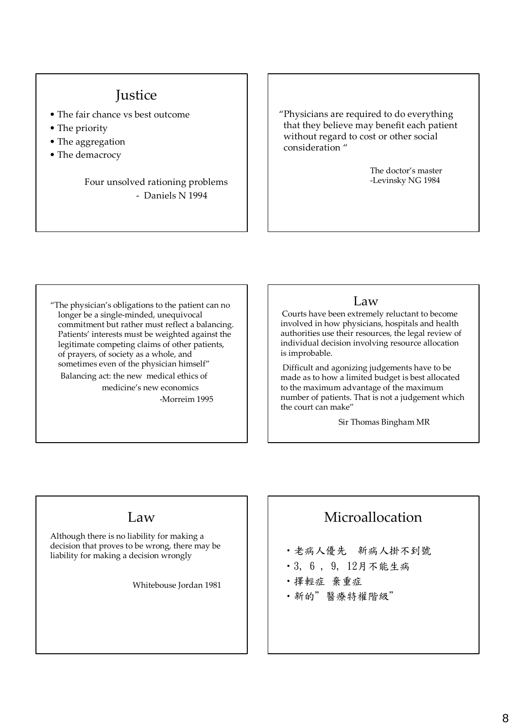### **Justice**

- The fair chance vs best outcome
- The priority
- The aggregation
- The demacrocy

#### Four unsolved rationing problems ‐ Daniels N 1994

"Physicians are required to do everything that they believe may benefit each patient without regard to cost or other social consideration "

> The doctor's master ‐Levinsky NG 1984

"The physician's obligations to the patient can no longer be a single‐minded, unequivocal commitment but rather must reflect a balancing. Patients' interests must be weighted against the legitimate competing claims of other patients, of prayers, of society as a whole, and sometimes even of the physician himself" Balancing act: the new medical ethics of medicine's new economics ‐Morreim 1995

#### Law

" authorities use their resources, the legal review of Courts have been extremely reluctant to become involved in how physicians, hospitals and health individual decision involving resource allocation is improbable.

Difficult and agonizing judgements have to be made as to how a limited budget is best allocated to the maximum advantage of the maximum number of patients. That is not a judgement which the court can make"

Sir Thomas Bingham MR

### Law

Although there is no liability for making a decision that proves to be wrong, there may be liability for making a decision wrongly

Whitebouse Jordan 1981

### Microallocation

- ‧老病人優先 新病人掛不到號
- ‧3, 6 , 9, 12月不能生病
- ‧擇輕症 棄重症
- ‧新的"醫療特權階級"